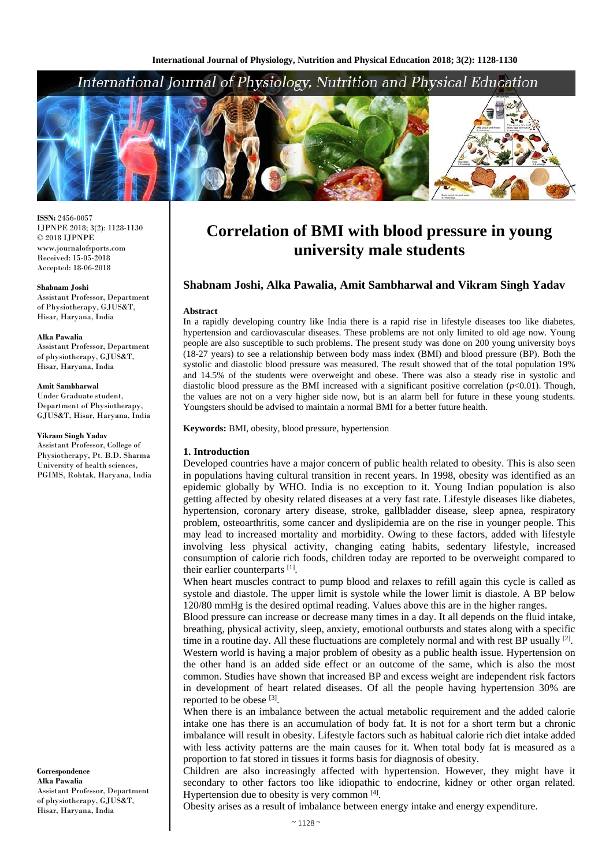# International Journal of Physiology, Nutrition and Physical Education



**ISSN:** 2456-0057 IJPNPE 2018; 3(2): 1128-1130  $\odot$  2018 IJPNPE www.journalofsports.com Received: 15-05-2018 Accepted: 18-06-2018

**Shabnam Joshi** Assistant Professor, Department of Physiotherapy, GJUS&T, Hisar, Haryana, India

#### **Alka Pawalia**

Assistant Professor, Department of physiotherapy, GJUS&T, Hisar, Haryana, India

#### **Amit Sambharwal**

Under Graduate student, Department of Physiotherapy, GJUS&T, Hisar, Haryana, India

#### **Vikram Singh Yadav**

Assistant Professor, College of Physiotherapy, Pt. B.D. Sharma University of health sciences, PGIMS, Rohtak, Haryana, India

**Correspondence Alka Pawalia** Assistant Professor, Department of physiotherapy, GJUS&T, Hisar, Haryana, India

# **Correlation of BMI with blood pressure in young university male students**

# **Shabnam Joshi, Alka Pawalia, Amit Sambharwal and Vikram Singh Yadav**

#### **Abstract**

In a rapidly developing country like India there is a rapid rise in lifestyle diseases too like diabetes, hypertension and cardiovascular diseases. These problems are not only limited to old age now. Young people are also susceptible to such problems. The present study was done on 200 young university boys (18-27 years) to see a relationship between body mass index (BMI) and blood pressure (BP). Both the systolic and diastolic blood pressure was measured. The result showed that of the total population 19% and 14.5% of the students were overweight and obese. There was also a steady rise in systolic and diastolic blood pressure as the BMI increased with a significant positive correlation  $(p<0.01)$ . Though, the values are not on a very higher side now, but is an alarm bell for future in these young students. Youngsters should be advised to maintain a normal BMI for a better future health.

**Keywords:** BMI, obesity, blood pressure, hypertension

#### **1. Introduction**

Developed countries have a major concern of public health related to obesity. This is also seen in populations having cultural transition in recent years. In 1998, obesity was identified as an epidemic globally by WHO. India is no exception to it. Young Indian population is also getting affected by obesity related diseases at a very fast rate. Lifestyle diseases like diabetes, hypertension, coronary artery disease, stroke, gallbladder disease, sleep apnea, respiratory problem, osteoarthritis, some cancer and dyslipidemia are on the rise in younger people. This may lead to increased mortality and morbidity. Owing to these factors, added with lifestyle involving less physical activity, changing eating habits, sedentary lifestyle, increased consumption of calorie rich foods, children today are reported to be overweight compared to their earlier counterparts [1].

When heart muscles contract to pump blood and relaxes to refill again this cycle is called as systole and diastole. The upper limit is systole while the lower limit is diastole. A BP below 120/80 mmHg is the desired optimal reading. Values above this are in the higher ranges.

Blood pressure can increase or decrease many times in a day. It all depends on the fluid intake, breathing, physical activity, sleep, anxiety, emotional outbursts and states along with a specific time in a routine day. All these fluctuations are completely normal and with rest BP usually [2].

Western world is having a major problem of obesity as a public health issue. Hypertension on the other hand is an added side effect or an outcome of the same, which is also the most common. Studies have shown that increased BP and excess weight are independent risk factors in development of heart related diseases. Of all the people having hypertension 30% are reported to be obese [3].

When there is an imbalance between the actual metabolic requirement and the added calorie intake one has there is an accumulation of body fat. It is not for a short term but a chronic imbalance will result in obesity. Lifestyle factors such as habitual calorie rich diet intake added with less activity patterns are the main causes for it. When total body fat is measured as a proportion to fat stored in tissues it forms basis for diagnosis of obesity.

Children are also increasingly affected with hypertension. However, they might have it secondary to other factors too like idiopathic to endocrine, kidney or other organ related. Hypertension due to obesity is very common [4].

Obesity arises as a result of imbalance between energy intake and energy expenditure.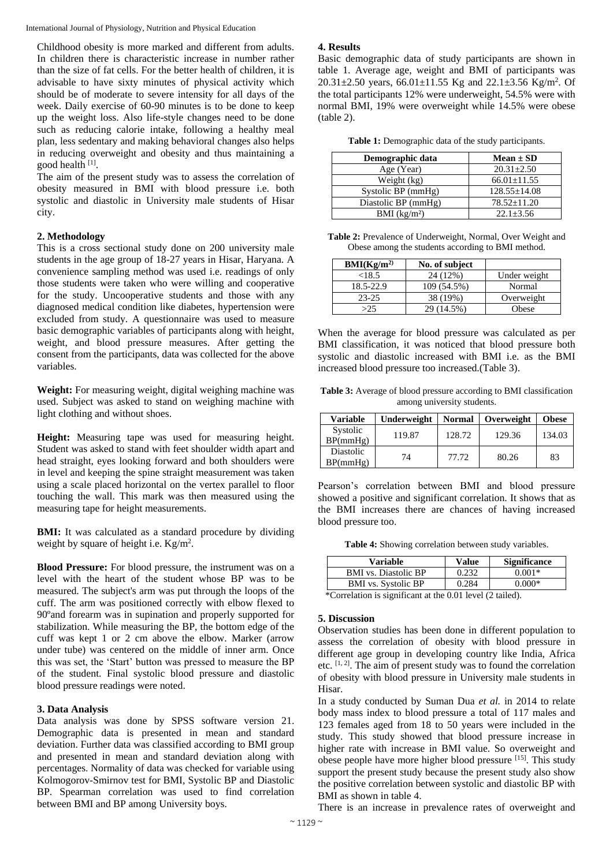International Journal of Physiology, Nutrition and Physical Education

Childhood obesity is more marked and different from adults. In children there is characteristic increase in number rather than the size of fat cells. For the better health of children, it is advisable to have sixty minutes of physical activity which should be of moderate to severe intensity for all days of the week. Daily exercise of 60-90 minutes is to be done to keep up the weight loss. Also life-style changes need to be done such as reducing calorie intake, following a healthy meal plan, less sedentary and making behavioral changes also helps in reducing overweight and obesity and thus maintaining a good health [1].

The aim of the present study was to assess the correlation of obesity measured in BMI with blood pressure i.e. both systolic and diastolic in University male students of Hisar city.

# **2. Methodology**

This is a cross sectional study done on 200 university male students in the age group of 18-27 years in Hisar, Haryana. A convenience sampling method was used i.e. readings of only those students were taken who were willing and cooperative for the study. Uncooperative students and those with any diagnosed medical condition like diabetes, hypertension were excluded from study. A questionnaire was used to measure basic demographic variables of participants along with height, weight, and blood pressure measures. After getting the consent from the participants, data was collected for the above variables.

**Weight:** For measuring weight, digital weighing machine was used. Subject was asked to stand on weighing machine with light clothing and without shoes.

**Height:** Measuring tape was used for measuring height. Student was asked to stand with feet shoulder width apart and head straight, eyes looking forward and both shoulders were in level and keeping the spine straight measurement was taken using a scale placed horizontal on the vertex parallel to floor touching the wall. This mark was then measured using the measuring tape for height measurements.

**BMI:** It was calculated as a standard procedure by dividing weight by square of height i.e. Kg/m<sup>2</sup>.

**Blood Pressure:** For blood pressure, the instrument was on a level with the heart of the student whose BP was to be measured. The subject's arm was put through the loops of the cuff. The arm was positioned correctly with elbow flexed to 90ºand forearm was in supination and properly supported for stabilization. While measuring the BP, the bottom edge of the cuff was kept 1 or 2 cm above the elbow. Marker (arrow under tube) was centered on the middle of inner arm. Once this was set, the 'Start' button was pressed to measure the BP of the student. Final systolic blood pressure and diastolic blood pressure readings were noted.

## **3. Data Analysis**

Data analysis was done by SPSS software version 21. Demographic data is presented in mean and standard deviation. Further data was classified according to BMI group and presented in mean and standard deviation along with percentages. Normality of data was checked for variable using Kolmogorov-Smirnov test for BMI, Systolic BP and Diastolic BP. Spearman correlation was used to find correlation between BMI and BP among University boys.

## **4. Results**

Basic demographic data of study participants are shown in table 1. Average age, weight and BMI of participants was 20.31 $\pm$ 2.50 years, 66.01 $\pm$ 11.55 Kg and 22.1 $\pm$ 3.56 Kg/m<sup>2</sup>. Of the total participants 12% were underweight, 54.5% were with normal BMI, 19% were overweight while 14.5% were obese (table 2).

**Table 1:** Demographic data of the study participants.

| Demographic data    | $Mean \pm SD$      |
|---------------------|--------------------|
| Age (Year)          | $20.31 + 2.50$     |
| Weight (kg)         | $66.01 \pm 11.55$  |
| Systolic BP (mmHg)  | $128.55 \pm 14.08$ |
| Diastolic BP (mmHg) | $78.52 \pm 11.20$  |
| BMI $(kg/m2)$       | $22.1 + 3.56$      |

**Table 2:** Prevalence of Underweight, Normal, Over Weight and Obese among the students according to BMI method.

| BMI(Kg/m <sup>2</sup> ) | No. of subject |              |
|-------------------------|----------------|--------------|
| <18.5                   | 24 (12%)       | Under weight |
| 18.5-22.9               | 109 (54.5%)    | Normal       |
| $23 - 25$               | 38 (19%)       | Overweight   |
| >2.5                    | 29 (14.5%)     | Obese        |

When the average for blood pressure was calculated as per BMI classification, it was noticed that blood pressure both systolic and diastolic increased with BMI i.e. as the BMI increased blood pressure too increased.(Table 3).

**Table 3:** Average of blood pressure according to BMI classification among university students.

| Variable              | Underweight | <b>Normal</b> | Overweight | <b>Obese</b> |
|-----------------------|-------------|---------------|------------|--------------|
| Systolic<br>BP(mmHg)  | 119.87      | 128.72        | 129.36     | 134.03       |
| Diastolic<br>BP(mmHg) | 74          | 77.72         | 80.26      | 83           |

Pearson's correlation between BMI and blood pressure showed a positive and significant correlation. It shows that as the BMI increases there are chances of having increased blood pressure too.

**Table 4:** Showing correlation between study variables.

| Variable                    | <b>Value</b> | <b>Significance</b> |
|-----------------------------|--------------|---------------------|
| <b>BMI</b> vs. Diastolic BP | 0.232        | $0.001*$            |
| BMI vs. Systolic BP         | 0.284        | $0.000*$            |
| $\sim$                      |              |                     |

\*Correlation is significant at the 0.01 level (2 tailed).

## **5. Discussion**

Observation studies has been done in different population to assess the correlation of obesity with blood pressure in different age group in developing country like India, Africa etc. [1, 2] . The aim of present study was to found the correlation of obesity with blood pressure in University male students in Hisar.

In a study conducted by Suman Dua *et al.* in 2014 to relate body mass index to blood pressure a total of 117 males and 123 females aged from 18 to 50 years were included in the study. This study showed that blood pressure increase in higher rate with increase in BMI value. So overweight and obese people have more higher blood pressure [15]. This study support the present study because the present study also show the positive correlation between systolic and diastolic BP with BMI as shown in table 4.

There is an increase in prevalence rates of overweight and